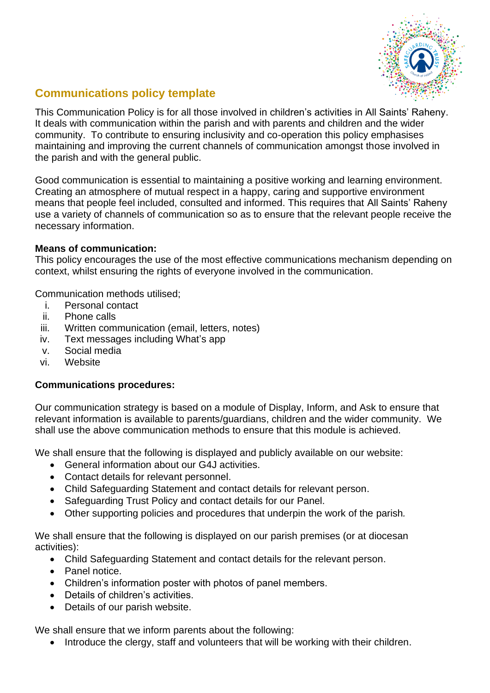

## **Communications policy template**

This Communication Policy is for all those involved in children's activities in All Saints' Raheny. It deals with communication within the parish and with parents and children and the wider community. To contribute to ensuring inclusivity and co-operation this policy emphasises maintaining and improving the current channels of communication amongst those involved in the parish and with the general public.

Good communication is essential to maintaining a positive working and learning environment. Creating an atmosphere of mutual respect in a happy, caring and supportive environment means that people feel included, consulted and informed. This requires that All Saints' Raheny use a variety of channels of communication so as to ensure that the relevant people receive the necessary information.

## **Means of communication:**

This policy encourages the use of the most effective communications mechanism depending on context, whilst ensuring the rights of everyone involved in the communication.

Communication methods utilised;

- i. Personal contact
- ii. Phone calls
- iii. Written communication (email, letters, notes)
- iv. Text messages including What's app
- v. Social media
- vi. Website

## **Communications procedures:**

Our communication strategy is based on a module of Display, Inform, and Ask to ensure that relevant information is available to parents/guardians, children and the wider community. We shall use the above communication methods to ensure that this module is achieved.

We shall ensure that the following is displayed and publicly available on our website:

- General information about our G4J activities.
- Contact details for relevant personnel.
- Child Safeguarding Statement and contact details for relevant person.
- Safeguarding Trust Policy and contact details for our Panel.
- Other supporting policies and procedures that underpin the work of the parish*.*

We shall ensure that the following is displayed on our parish premises (or at diocesan activities):

- Child Safeguarding Statement and contact details for the relevant person.
- Panel notice.
- Children's information poster with photos of panel members.
- Details of children's activities.
- Details of our parish website.

We shall ensure that we inform parents about the following:

• Introduce the clergy, staff and volunteers that will be working with their children.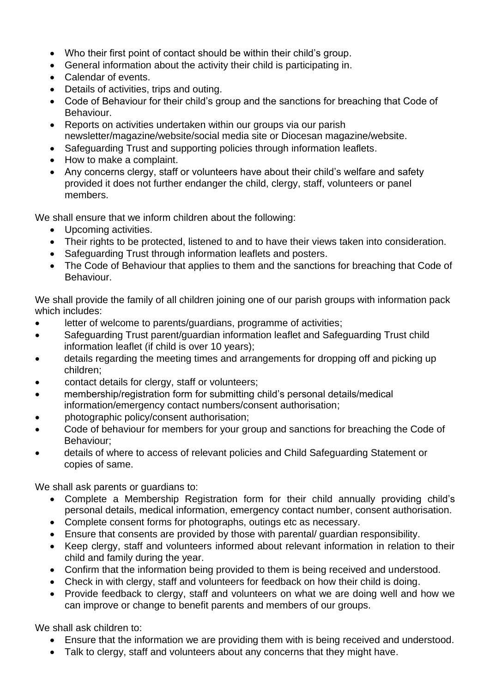- Who their first point of contact should be within their child's group.
- General information about the activity their child is participating in.
- Calendar of events.
- Details of activities, trips and outing.
- Code of Behaviour for their child's group and the sanctions for breaching that Code of Behaviour.
- Reports on activities undertaken within our groups via our parish newsletter/magazine/website/social media site or Diocesan magazine/website.
- Safeguarding Trust and supporting policies through information leaflets.
- How to make a complaint.
- Any concerns clergy, staff or volunteers have about their child's welfare and safety provided it does not further endanger the child, clergy, staff, volunteers or panel members.

We shall ensure that we inform children about the following:

- Upcoming activities.
- Their rights to be protected, listened to and to have their views taken into consideration.
- Safeguarding Trust through information leaflets and posters.
- The Code of Behaviour that applies to them and the sanctions for breaching that Code of Behaviour.

We shall provide the family of all children joining one of our parish groups with information pack which includes:

- letter of welcome to parents/guardians, programme of activities;
- Safeguarding Trust parent/guardian information leaflet and Safeguarding Trust child information leaflet (if child is over 10 years);
- details regarding the meeting times and arrangements for dropping off and picking up children;
- contact details for clergy, staff or volunteers;
- membership/registration form for submitting child's personal details/medical information/emergency contact numbers/consent authorisation;
- photographic policy/consent authorisation;
- Code of behaviour for members for your group and sanctions for breaching the Code of Behaviour;
- details of where to access of relevant policies and Child Safeguarding Statement or copies of same.

We shall ask parents or quardians to:

- Complete a Membership Registration form for their child annually providing child's personal details, medical information, emergency contact number, consent authorisation.
- Complete consent forms for photographs, outings etc as necessary.
- Ensure that consents are provided by those with parental/ guardian responsibility.
- Keep clergy, staff and volunteers informed about relevant information in relation to their child and family during the year.
- Confirm that the information being provided to them is being received and understood.
- Check in with clergy, staff and volunteers for feedback on how their child is doing.
- Provide feedback to clergy, staff and volunteers on what we are doing well and how we can improve or change to benefit parents and members of our groups.

We shall ask children to:

- Ensure that the information we are providing them with is being received and understood.
- Talk to clergy, staff and volunteers about any concerns that they might have.